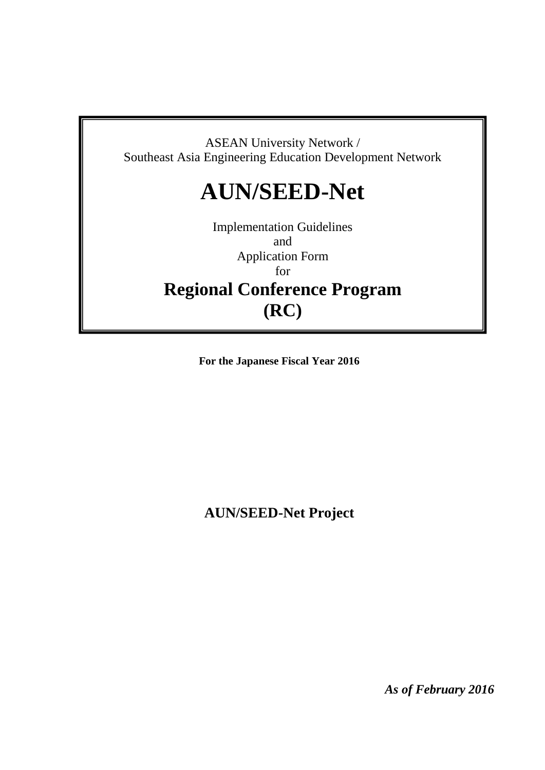ASEAN University Network / Southeast Asia Engineering Education Development Network

# **AUN/SEED-Net**

Implementation Guidelines and Application Form for **Regional Conference Program (RC)**

**For the Japanese Fiscal Year 2016**

**AUN/SEED-Net Project**

*As of February 2016*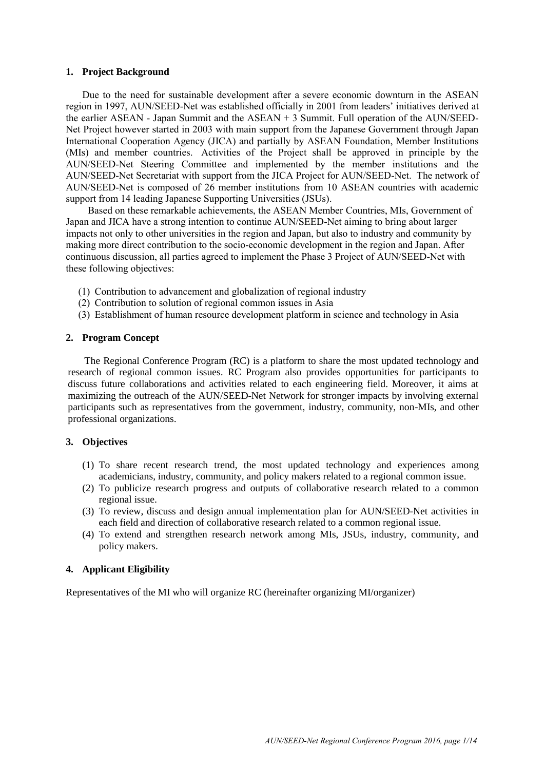#### **1. Project Background**

Due to the need for sustainable development after a severe economic downturn in the ASEAN region in 1997, AUN/SEED-Net was established officially in 2001 from leaders' initiatives derived at the earlier ASEAN - Japan Summit and the ASEAN + 3 Summit. Full operation of the AUN/SEED-Net Project however started in 2003 with main support from the Japanese Government through Japan International Cooperation Agency (JICA) and partially by ASEAN Foundation, Member Institutions (MIs) and member countries. Activities of the Project shall be approved in principle by the AUN/SEED-Net Steering Committee and implemented by the member institutions and the AUN/SEED-Net Secretariat with support from the JICA Project for AUN/SEED-Net. The network of AUN/SEED-Net is composed of 26 member institutions from 10 ASEAN countries with academic support from 14 leading Japanese Supporting Universities (JSUs).

Based on these remarkable achievements, the ASEAN Member Countries, MIs, Government of Japan and JICA have a strong intention to continue AUN/SEED-Net aiming to bring about larger impacts not only to other universities in the region and Japan, but also to industry and community by making more direct contribution to the socio-economic development in the region and Japan. After continuous discussion, all parties agreed to implement the Phase 3 Project of AUN/SEED-Net with these following objectives:

- (1) Contribution to advancement and globalization of regional industry
- (2) Contribution to solution of regional common issues in Asia
- (3) Establishment of human resource development platform in science and technology in Asia

# **2. Program Concept**

The Regional Conference Program (RC) is a platform to share the most updated technology and research of regional common issues. RC Program also provides opportunities for participants to discuss future collaborations and activities related to each engineering field. Moreover, it aims at maximizing the outreach of the AUN/SEED-Net Network for stronger impacts by involving external participants such as representatives from the government, industry, community, non-MIs, and other professional organizations.

# **3. Objectives**

- (1) To share recent research trend, the most updated technology and experiences among academicians, industry, community, and policy makers related to a regional common issue.
- (2) To publicize research progress and outputs of collaborative research related to a common regional issue.
- (3) To review, discuss and design annual implementation plan for AUN/SEED-Net activities in each field and direction of collaborative research related to a common regional issue.
- (4) To extend and strengthen research network among MIs, JSUs, industry, community, and policy makers.

# **4. Applicant Eligibility**

Representatives of the MI who will organize RC (hereinafter organizing MI/organizer)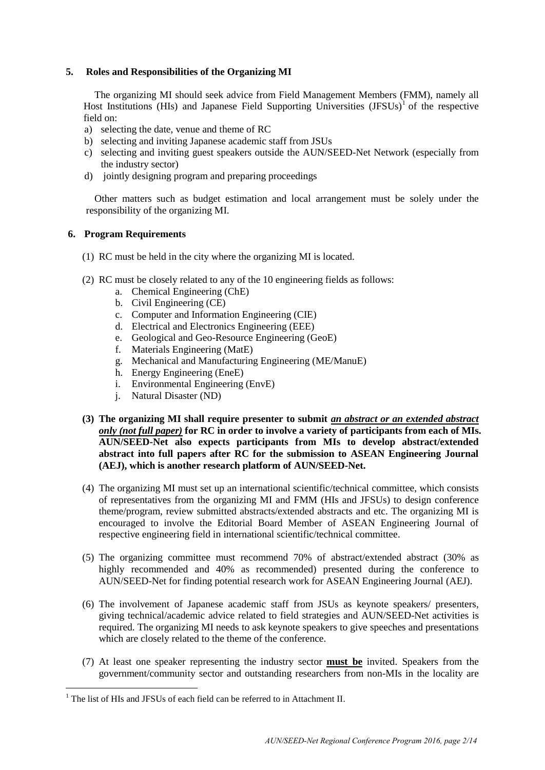# **5. Roles and Responsibilities of the Organizing MI**

 The organizing MI should seek advice from Field Management Members (FMM), namely all Host Institutions (HIs) and Japanese Field Supporting Universities  $(JFSUs)^{1}$  of the respective field on:

- a) selecting the date, venue and theme of RC
- b) selecting and inviting Japanese academic staff from JSUs
- c) selecting and inviting guest speakers outside the AUN/SEED-Net Network (especially from the industry sector)
- d) jointly designing program and preparing proceedings

 Other matters such as budget estimation and local arrangement must be solely under the responsibility of the organizing MI.

# **6. Program Requirements**

- (1) RC must be held in the city where the organizing MI is located.
- (2) RC must be closely related to any of the 10 engineering fields as follows:
	- a. Chemical Engineering (ChE)
	- b. Civil Engineering (CE)
	- c. Computer and Information Engineering (CIE)
	- d. Electrical and Electronics Engineering (EEE)
	- e. Geological and Geo-Resource Engineering (GeoE)
	- f. Materials Engineering (MatE)
	- g. Mechanical and Manufacturing Engineering (ME/ManuE)
	- h. Energy Engineering (EneE)
	- i. Environmental Engineering (EnvE)
	- j. Natural Disaster (ND)
- **(3) The organizing MI shall require presenter to submit** *an abstract or an extended abstract only (not full paper)* **for RC in order to involve a variety of participants from each of MIs. AUN/SEED-Net also expects participants from MIs to develop abstract/extended abstract into full papers after RC for the submission to ASEAN Engineering Journal (AEJ), which is another research platform of AUN/SEED-Net.**
- (4) The organizing MI must set up an international scientific/technical committee, which consists of representatives from the organizing MI and FMM (HIs and JFSUs) to design conference theme/program, review submitted abstracts/extended abstracts and etc. The organizing MI is encouraged to involve the Editorial Board Member of ASEAN Engineering Journal of respective engineering field in international scientific/technical committee.
- (5) The organizing committee must recommend 70% of abstract/extended abstract (30% as highly recommended and 40% as recommended) presented during the conference to AUN/SEED-Net for finding potential research work for ASEAN Engineering Journal (AEJ).
- (6) The involvement of Japanese academic staff from JSUs as keynote speakers/ presenters, giving technical/academic advice related to field strategies and AUN/SEED-Net activities is required. The organizing MI needs to ask keynote speakers to give speeches and presentations which are closely related to the theme of the conference.
- (7) At least one speaker representing the industry sector **must be** invited. Speakers from the government/community sector and outstanding researchers from non-MIs in the locality are

1

<sup>&</sup>lt;sup>1</sup> The list of HIs and JFSUs of each field can be referred to in Attachment II.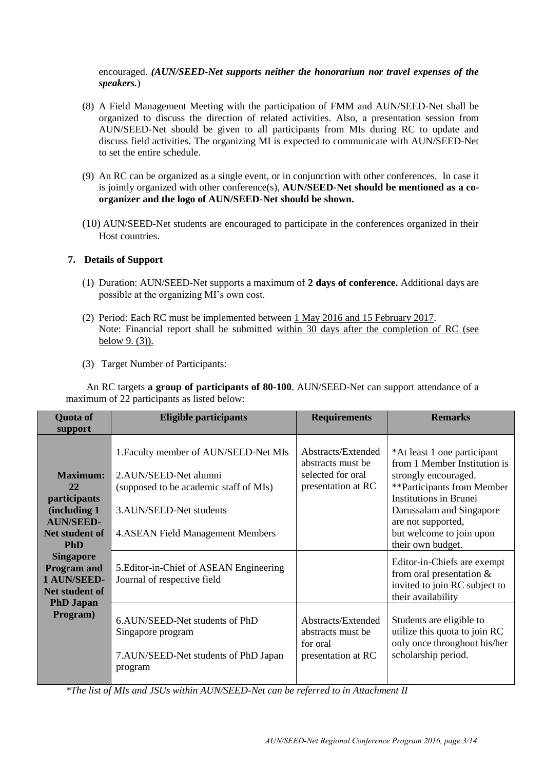encouraged. *(AUN/SEED-Net supports neither the honorarium nor travel expenses of the speakers.*)

- (8) A Field Management Meeting with the participation of FMM and AUN/SEED-Net shall be organized to discuss the direction of related activities. Also, a presentation session from AUN/SEED-Net should be given to all participants from MIs during RC to update and discuss field activities. The organizing MI is expected to communicate with AUN/SEED-Net to set the entire schedule.
- (9) An RC can be organized as a single event, or in conjunction with other conferences. In case it is jointly organized with other conference(s), **AUN/SEED-Net should be mentioned as a coorganizer and the logo of AUN/SEED-Net should be shown.**
- (10) AUN/SEED-Net students are encouraged to participate in the conferences organized in their Host countries.

# **7. Details of Support**

- (1) Duration: AUN/SEED-Net supports a maximum of **2 days of conference.** Additional days are possible at the organizing MI's own cost.
- (2) Period: Each RC must be implemented between 1 May 2016 and 15 February 2017. Note: Financial report shall be submitted within 30 days after the completion of RC (see below 9. (3)).
- (3) Target Number of Participants:

An RC targets **a group of participants of 80-100**. AUN/SEED-Net can support attendance of a maximum of 22 participants as listed below:

| <b>Quota of</b><br>support                                                                                 | <b>Eligible participants</b>                                                                                                                                             | <b>Requirements</b>                                                                | <b>Remarks</b>                                                                                                                                                                                                                                        |
|------------------------------------------------------------------------------------------------------------|--------------------------------------------------------------------------------------------------------------------------------------------------------------------------|------------------------------------------------------------------------------------|-------------------------------------------------------------------------------------------------------------------------------------------------------------------------------------------------------------------------------------------------------|
| <b>Maximum:</b><br>22<br>participants<br>(including 1)<br><b>AUN/SEED-</b><br>Net student of<br><b>PhD</b> | 1. Faculty member of AUN/SEED-Net MIs<br>2.AUN/SEED-Net alumni<br>(supposed to be academic staff of MIs)<br>3.AUN/SEED-Net students<br>4. ASEAN Field Management Members | Abstracts/Extended<br>abstracts must be<br>selected for oral<br>presentation at RC | *At least 1 one participant<br>from 1 Member Institution is<br>strongly encouraged.<br>**Participants from Member<br><b>Institutions in Brunei</b><br>Darussalam and Singapore<br>are not supported,<br>but welcome to join upon<br>their own budget. |
| <b>Singapore</b><br><b>Program and</b><br>1 AUN/SEED-<br>Net student of                                    | 5. Editor-in-Chief of ASEAN Engineering<br>Journal of respective field                                                                                                   |                                                                                    | Editor-in-Chiefs are exempt<br>from oral presentation $\&$<br>invited to join RC subject to<br>their availability                                                                                                                                     |
| <b>PhD Japan</b><br>Program)                                                                               | 6. AUN/SEED-Net students of PhD<br>Singapore program<br>7.AUN/SEED-Net students of PhD Japan<br>program                                                                  | Abstracts/Extended<br>abstracts must be<br>for oral<br>presentation at RC          | Students are eligible to<br>utilize this quota to join RC<br>only once throughout his/her<br>scholarship period.                                                                                                                                      |

*\*The list of MIs and JSUs within AUN/SEED-Net can be referred to in Attachment II*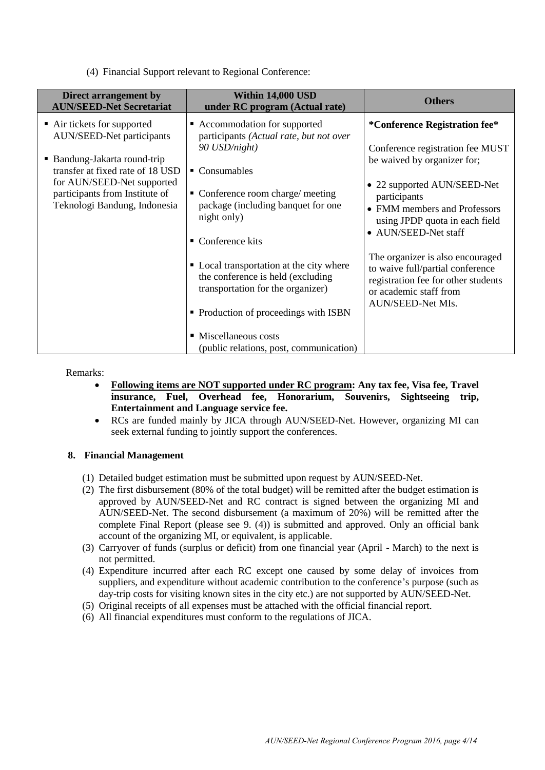(4) Financial Support relevant to Regional Conference:

| Direct arrangement by<br><b>AUN/SEED-Net Secretariat</b>                                                                                                                                                                            | Within 14,000 USD<br>under RC program (Actual rate)                                                                                                                                                                                                                                                                                                                                    | <b>Others</b>                                                                                                                                                                                                                                                                                                                                                                                           |
|-------------------------------------------------------------------------------------------------------------------------------------------------------------------------------------------------------------------------------------|----------------------------------------------------------------------------------------------------------------------------------------------------------------------------------------------------------------------------------------------------------------------------------------------------------------------------------------------------------------------------------------|---------------------------------------------------------------------------------------------------------------------------------------------------------------------------------------------------------------------------------------------------------------------------------------------------------------------------------------------------------------------------------------------------------|
| • Air tickets for supported<br><b>AUN/SEED-Net participants</b><br>• Bandung-Jakarta round-trip<br>transfer at fixed rate of 18 USD<br>for AUN/SEED-Net supported<br>participants from Institute of<br>Teknologi Bandung, Indonesia | • Accommodation for supported<br>participants (Actual rate, but not over<br>90 USD/night)<br>• Consumables<br>• Conference room charge/ meeting<br>package (including banquet for one<br>night only)<br>Conference kits<br>• Local transportation at the city where<br>the conference is held (excluding<br>transportation for the organizer)<br>• Production of proceedings with ISBN | *Conference Registration fee*<br>Conference registration fee MUST<br>be waived by organizer for;<br>• 22 supported AUN/SEED-Net<br>participants<br>• FMM members and Professors<br>using JPDP quota in each field<br>• AUN/SEED-Net staff<br>The organizer is also encouraged<br>to waive full/partial conference<br>registration fee for other students<br>or academic staff from<br>AUN/SEED-Net MIs. |
|                                                                                                                                                                                                                                     | • Miscellaneous costs<br>(public relations, post, communication)                                                                                                                                                                                                                                                                                                                       |                                                                                                                                                                                                                                                                                                                                                                                                         |

# Remarks:

- **Following items are NOT supported under RC program: Any tax fee, Visa fee, Travel insurance, Fuel, Overhead fee, Honorarium, Souvenirs, Sightseeing trip, Entertainment and Language service fee.**
- RCs are funded mainly by JICA through AUN/SEED-Net. However, organizing MI can seek external funding to jointly support the conferences.

# **8. Financial Management**

- (1) Detailed budget estimation must be submitted upon request by AUN/SEED-Net.
- (2) The first disbursement (80% of the total budget) will be remitted after the budget estimation is approved by AUN/SEED-Net and RC contract is signed between the organizing MI and AUN/SEED-Net. The second disbursement (a maximum of 20%) will be remitted after the complete Final Report (please see 9. (4)) is submitted and approved. Only an official bank account of the organizing MI, or equivalent, is applicable.
- (3) Carryover of funds (surplus or deficit) from one financial year (April March) to the next is not permitted.
- (4) Expenditure incurred after each RC except one caused by some delay of invoices from suppliers, and expenditure without academic contribution to the conference's purpose (such as day-trip costs for visiting known sites in the city etc.) are not supported by AUN/SEED-Net.
- (5) Original receipts of all expenses must be attached with the official financial report.
- (6) All financial expenditures must conform to the regulations of JICA.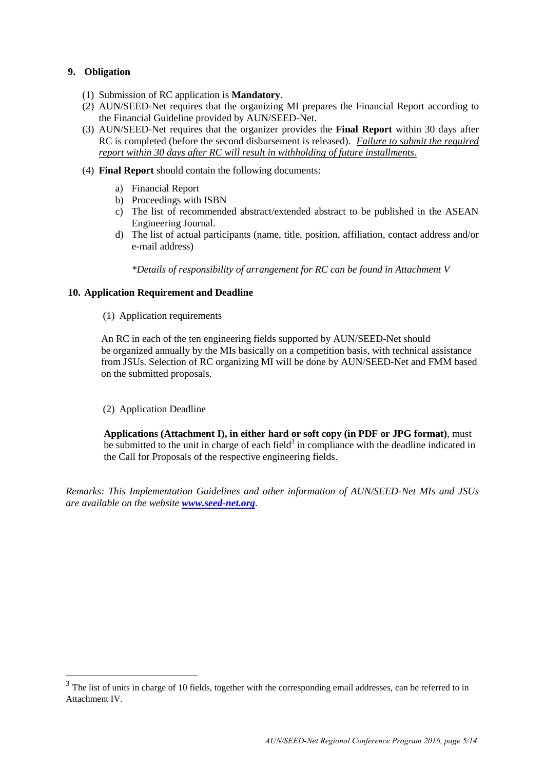# **9. Obligation**

- (1) Submission of RC application is **Mandatory**.
- (2) AUN/SEED-Net requires that the organizing MI prepares the Financial Report according to the Financial Guideline provided by AUN/SEED-Net.
- (3) AUN/SEED-Net requires that the organizer provides the **Final Report** within 30 days after RC is completed (before the second disbursement is released). *Failure to submit the required report within 30 days after RC will result in withholding of future installments.*
- (4) **Final Report** should contain the following documents:
	- a) Financial Report
	- b) Proceedings with ISBN
	- c) The list of recommended abstract/extended abstract to be published in the ASEAN Engineering Journal.
	- d) The list of actual participants (name, title, position, affiliation, contact address and/or e-mail address)

*\*Details of responsibility of arrangement for RC can be found in Attachment V* 

# **10. Application Requirement and Deadline**

(1) Application requirements

 An RC in each of the ten engineering fields supported by AUN/SEED-Net should be organized annually by the MIs basically on a competition basis, with technical assistance from JSUs. Selection of RC organizing MI will be done by AUN/SEED-Net and FMM based on the submitted proposals.

(2) Application Deadline

<u>.</u>

 **Applications (Attachment I), in either hard or soft copy (in PDF or JPG format)**, must be submitted to the unit in charge of each field<sup>3</sup> in compliance with the deadline indicated in the Call for Proposals of the respective engineering fields.

*Remarks: This Implementation Guidelines and other information of AUN/SEED-Net MIs and JSUs are available on the website [www.seed-net.org](http://www.seed-net.org/).* 

 $3$  The list of units in charge of 10 fields, together with the corresponding email addresses, can be referred to in Attachment IV.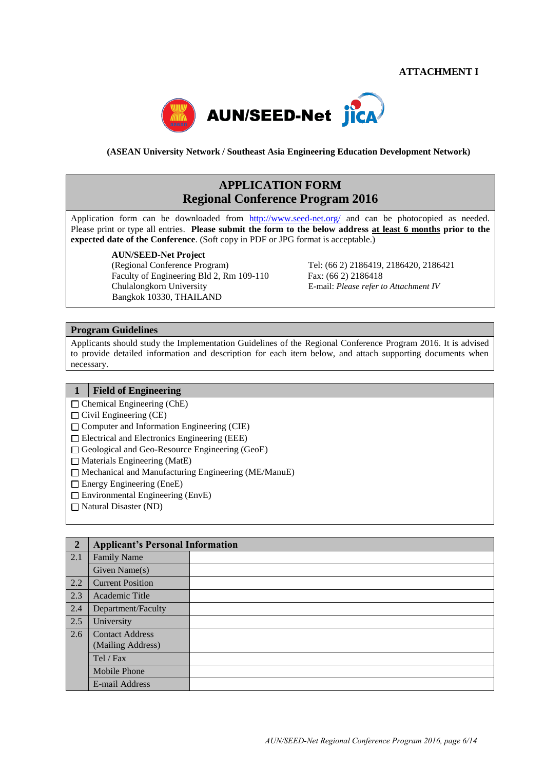

#### **(ASEAN University Network / Southeast Asia Engineering Education Development Network)**

# **APPLICATION FORM Regional Conference Program 2016**

Application form can be downloaded from <http://www.seed-net.org/> and can be photocopied as needed. Please print or type all entries. **Please submit the form to the below address at least 6 months prior to the expected date of the Conference**. (Soft copy in PDF or JPG format is acceptable.)

 **AUN/SEED-Net Project** Faculty of Engineering Bld 2, Rm 109-110<br>Chulalongkorn University Bangkok 10330, THAILAND

Tel: (66 2) 2186419, 2186420, 2186421<br>Fax: (66 2) 2186418 E-mail: *Please refer to Attachment IV* 

#### **Program Guidelines**

Applicants should study the Implementation Guidelines of the Regional Conference Program 2016. It is advised to provide detailed information and description for each item below, and attach supporting documents when necessary.

#### **1 Field of Engineering**

- $\Box$  Chemical Engineering (ChE)
- $\Box$  Civil Engineering (CE)
- $\Box$  Computer and Information Engineering (CIE)
- $\Box$  Electrical and Electronics Engineering (EEE)
- □ Geological and Geo-Resource Engineering (GeoE)
- $\Box$  Materials Engineering (MatE)
- $\Box$  Mechanical and Manufacturing Engineering (ME/ManuE)
- $\Box$  Energy Engineering (EneE)
- Environmental Engineering (EnvE)
- $\Box$  Natural Disaster (ND)

| $\overline{2}$ | <b>Applicant's Personal Information</b> |  |  |
|----------------|-----------------------------------------|--|--|
| 2.1            | <b>Family Name</b>                      |  |  |
|                | Given Name(s)                           |  |  |
| 2.2            | <b>Current Position</b>                 |  |  |
| 2.3            | Academic Title                          |  |  |
| 2.4            | Department/Faculty                      |  |  |
| 2.5            | University                              |  |  |
| 2.6            | <b>Contact Address</b>                  |  |  |
|                | (Mailing Address)                       |  |  |
|                | Tel / Fax                               |  |  |
|                | Mobile Phone                            |  |  |
|                | E-mail Address                          |  |  |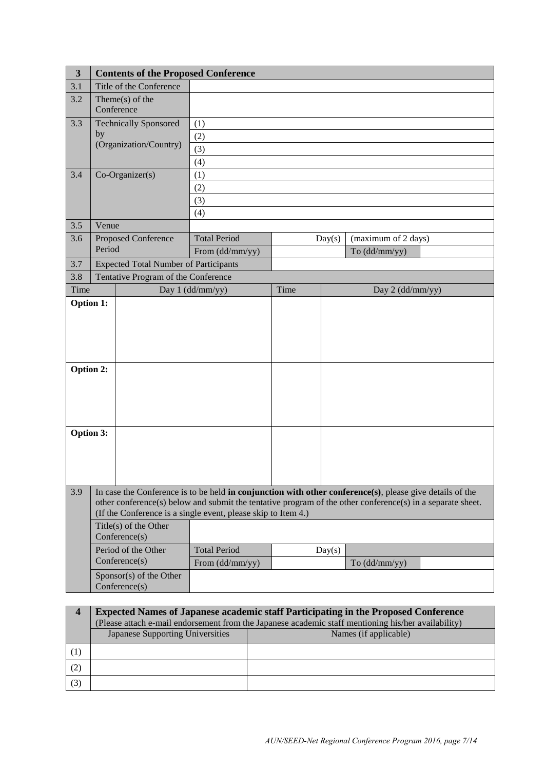| $\mathbf{3}$                                                                                                                                                                                                                                                                                   |        | <b>Contents of the Proposed Conference</b>   |                     |      |        |                     |  |
|------------------------------------------------------------------------------------------------------------------------------------------------------------------------------------------------------------------------------------------------------------------------------------------------|--------|----------------------------------------------|---------------------|------|--------|---------------------|--|
| 3.1                                                                                                                                                                                                                                                                                            |        | Title of the Conference                      |                     |      |        |                     |  |
| 3.2                                                                                                                                                                                                                                                                                            |        | Theme $(s)$ of the<br>Conference             |                     |      |        |                     |  |
| 3.3                                                                                                                                                                                                                                                                                            |        | <b>Technically Sponsored</b>                 | (1)                 |      |        |                     |  |
|                                                                                                                                                                                                                                                                                                | by     |                                              | (2)                 |      |        |                     |  |
|                                                                                                                                                                                                                                                                                                |        | (Organization/Country)                       | (3)                 |      |        |                     |  |
|                                                                                                                                                                                                                                                                                                |        |                                              | (4)                 |      |        |                     |  |
| 3.4                                                                                                                                                                                                                                                                                            |        | Co-Organizer(s)                              | (1)                 |      |        |                     |  |
|                                                                                                                                                                                                                                                                                                |        |                                              | (2)                 |      |        |                     |  |
|                                                                                                                                                                                                                                                                                                |        |                                              | (3)                 |      |        |                     |  |
|                                                                                                                                                                                                                                                                                                |        |                                              | (4)                 |      |        |                     |  |
| 3.5                                                                                                                                                                                                                                                                                            | Venue  |                                              |                     |      |        |                     |  |
| 3.6                                                                                                                                                                                                                                                                                            |        | Proposed Conference                          | <b>Total Period</b> |      | Day(s) | (maximum of 2 days) |  |
|                                                                                                                                                                                                                                                                                                | Period |                                              | From (dd/mm/yy)     |      |        | To (dd/mm/yy)       |  |
| 3.7                                                                                                                                                                                                                                                                                            |        | <b>Expected Total Number of Participants</b> |                     |      |        |                     |  |
| 3.8                                                                                                                                                                                                                                                                                            |        | Tentative Program of the Conference          |                     |      |        |                     |  |
| Time                                                                                                                                                                                                                                                                                           |        |                                              | Day 1 (dd/mm/yy)    | Time |        | Day 2 (dd/mm/yy)    |  |
| Option 1:                                                                                                                                                                                                                                                                                      |        |                                              |                     |      |        |                     |  |
| Option 2:                                                                                                                                                                                                                                                                                      |        |                                              |                     |      |        |                     |  |
| Option 3:                                                                                                                                                                                                                                                                                      |        |                                              |                     |      |        |                     |  |
| 3.9<br>In case the Conference is to be held in conjunction with other conference(s), please give details of the<br>other conference(s) below and submit the tentative program of the other conference(s) in a separate sheet.<br>(If the Conference is a single event, please skip to Item 4.) |        |                                              |                     |      |        |                     |  |
| Title(s) of the Other<br>Conference(s)                                                                                                                                                                                                                                                         |        |                                              |                     |      |        |                     |  |
|                                                                                                                                                                                                                                                                                                |        | Period of the Other                          | <b>Total Period</b> |      | Day(s) |                     |  |
|                                                                                                                                                                                                                                                                                                |        | Conference(s)                                | From (dd/mm/yy)     |      |        | To (dd/mm/yy)       |  |
| Sponsor(s) of the Other<br>Conference(s)                                                                                                                                                                                                                                                       |        |                                              |                     |      |        |                     |  |

|     | <b>Expected Names of Japanese academic staff Participating in the Proposed Conference</b>           |                       |  |  |
|-----|-----------------------------------------------------------------------------------------------------|-----------------------|--|--|
|     | (Please attach e-mail endorsement from the Japanese academic staff mentioning his/her availability) |                       |  |  |
|     | Japanese Supporting Universities                                                                    | Names (if applicable) |  |  |
| (1) |                                                                                                     |                       |  |  |
| (2) |                                                                                                     |                       |  |  |
| (3) |                                                                                                     |                       |  |  |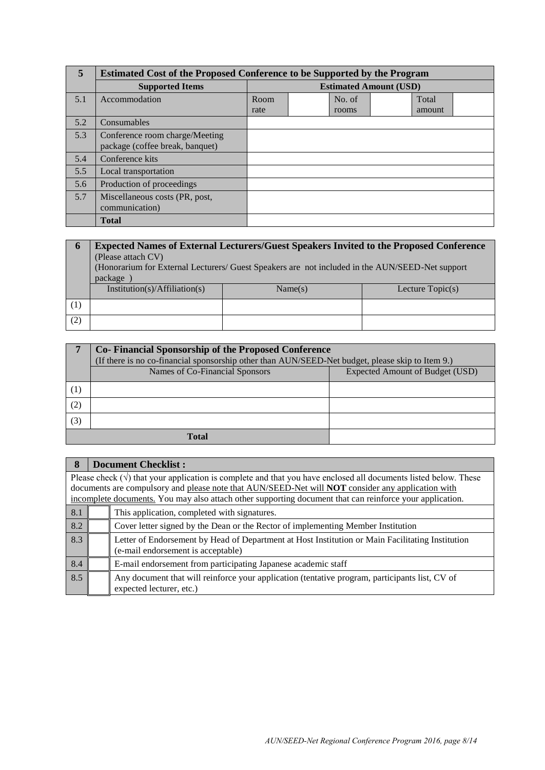| $\overline{5}$ | <b>Estimated Cost of the Proposed Conference to be Supported by the Program</b> |                               |  |        |        |  |
|----------------|---------------------------------------------------------------------------------|-------------------------------|--|--------|--------|--|
|                | <b>Supported Items</b>                                                          | <b>Estimated Amount (USD)</b> |  |        |        |  |
| 5.1            | Accommodation                                                                   | Room                          |  | No. of | Total  |  |
|                |                                                                                 | rate                          |  | rooms  | amount |  |
| 5.2            | Consumables                                                                     |                               |  |        |        |  |
| 5.3            | Conference room charge/Meeting<br>package (coffee break, banquet)               |                               |  |        |        |  |
| 5.4            | Conference kits                                                                 |                               |  |        |        |  |
| 5.5            | Local transportation                                                            |                               |  |        |        |  |
| 5.6            | Production of proceedings                                                       |                               |  |        |        |  |
| 5.7            | Miscellaneous costs (PR, post,<br>communication)                                |                               |  |        |        |  |
|                | <b>Total</b>                                                                    |                               |  |        |        |  |

| o   | <b>Expected Names of External Lecturers/Guest Speakers Invited to the Proposed Conference</b>   |         |                    |  |
|-----|-------------------------------------------------------------------------------------------------|---------|--------------------|--|
|     | (Please attach CV)                                                                              |         |                    |  |
|     | (Honorarium for External Lecturers/ Guest Speakers are not included in the AUN/SEED-Net support |         |                    |  |
|     | package                                                                                         |         |                    |  |
|     | Institution(s)/ $Affiliation(s)$                                                                | Name(s) | Lecture $Topic(s)$ |  |
| (1) |                                                                                                 |         |                    |  |
| (2) |                                                                                                 |         |                    |  |

|                  | Co-Financial Sponsorship of the Proposed Conference                                              |                                        |  |
|------------------|--------------------------------------------------------------------------------------------------|----------------------------------------|--|
|                  | (If there is no co-financial sponsorship other than AUN/SEED-Net budget, please skip to Item 9.) |                                        |  |
|                  | Names of Co-Financial Sponsors                                                                   | <b>Expected Amount of Budget (USD)</b> |  |
| $\left(1\right)$ |                                                                                                  |                                        |  |
| (2)              |                                                                                                  |                                        |  |
| (3)              |                                                                                                  |                                        |  |
|                  | Total                                                                                            |                                        |  |

|     |                                                                                                                                        | <b>Document Checklist:</b>                                                                                                                                                                                           |  |  |
|-----|----------------------------------------------------------------------------------------------------------------------------------------|----------------------------------------------------------------------------------------------------------------------------------------------------------------------------------------------------------------------|--|--|
|     | Please check $(\vee)$ that your application is complete and that you have enclosed all documents listed below. These                   |                                                                                                                                                                                                                      |  |  |
|     |                                                                                                                                        | documents are compulsory and please note that AUN/SEED-Net will <b>NOT</b> consider any application with<br>incomplete documents. You may also attach other supporting document that can reinforce your application. |  |  |
| 8.1 |                                                                                                                                        | This application, completed with signatures.                                                                                                                                                                         |  |  |
| 8.2 |                                                                                                                                        | Cover letter signed by the Dean or the Rector of implementing Member Institution                                                                                                                                     |  |  |
| 8.3 | Letter of Endorsement by Head of Department at Host Institution or Main Facilitating Institution<br>(e-mail endorsement is acceptable) |                                                                                                                                                                                                                      |  |  |
| 8.4 | E-mail endorsement from participating Japanese academic staff                                                                          |                                                                                                                                                                                                                      |  |  |
| 8.5 |                                                                                                                                        | Any document that will reinforce your application (tentative program, participants list, CV of<br>expected lecturer, etc.)                                                                                           |  |  |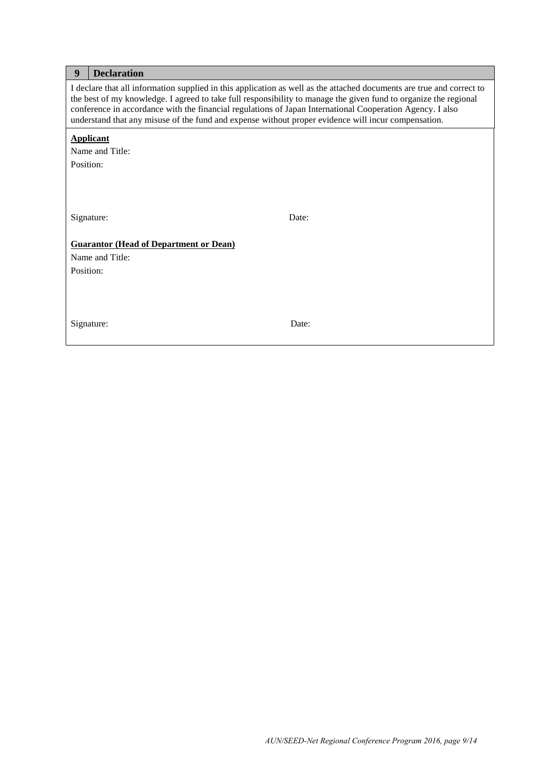| 9                                                                                                                                                                                                                                                                                                                                                                                                                                                             | <b>Declaration</b>                                               |  |  |
|---------------------------------------------------------------------------------------------------------------------------------------------------------------------------------------------------------------------------------------------------------------------------------------------------------------------------------------------------------------------------------------------------------------------------------------------------------------|------------------------------------------------------------------|--|--|
| I declare that all information supplied in this application as well as the attached documents are true and correct to<br>the best of my knowledge. I agreed to take full responsibility to manage the given fund to organize the regional<br>conference in accordance with the financial regulations of Japan International Cooperation Agency. I also<br>understand that any misuse of the fund and expense without proper evidence will incur compensation. |                                                                  |  |  |
|                                                                                                                                                                                                                                                                                                                                                                                                                                                               | <b>Applicant</b>                                                 |  |  |
|                                                                                                                                                                                                                                                                                                                                                                                                                                                               | Name and Title:                                                  |  |  |
| Position:                                                                                                                                                                                                                                                                                                                                                                                                                                                     |                                                                  |  |  |
|                                                                                                                                                                                                                                                                                                                                                                                                                                                               |                                                                  |  |  |
|                                                                                                                                                                                                                                                                                                                                                                                                                                                               |                                                                  |  |  |
|                                                                                                                                                                                                                                                                                                                                                                                                                                                               |                                                                  |  |  |
|                                                                                                                                                                                                                                                                                                                                                                                                                                                               | Signature:<br>Date:                                              |  |  |
| Position:                                                                                                                                                                                                                                                                                                                                                                                                                                                     | <b>Guarantor (Head of Department or Dean)</b><br>Name and Title: |  |  |
|                                                                                                                                                                                                                                                                                                                                                                                                                                                               |                                                                  |  |  |

Signature: Date: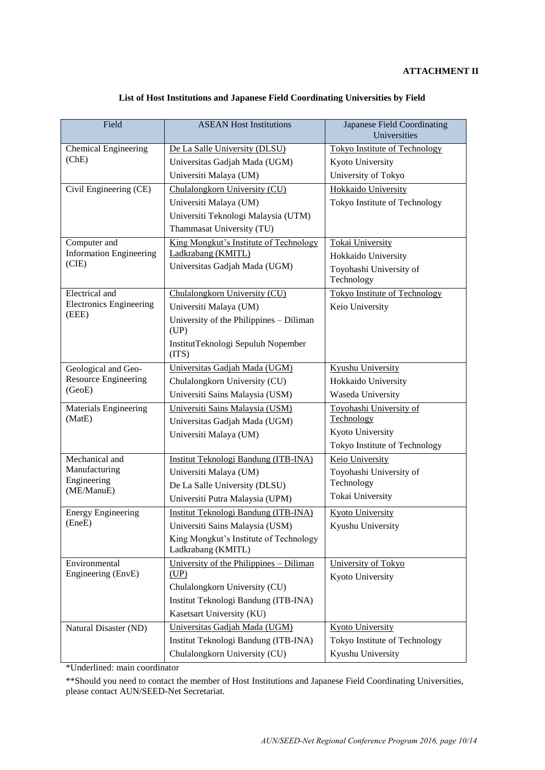# **ATTACHMENT II**

| Field                          | <b>ASEAN Host Institutions</b>                               | Japanese Field Coordinating<br>Universities |
|--------------------------------|--------------------------------------------------------------|---------------------------------------------|
| <b>Chemical Engineering</b>    | De La Salle University (DLSU)                                | <b>Tokyo Institute of Technology</b>        |
| (ChE)                          | Universitas Gadjah Mada (UGM)                                | Kyoto University                            |
|                                | Universiti Malaya (UM)                                       | University of Tokyo                         |
| Civil Engineering (CE)         | Chulalongkorn University (CU)                                | Hokkaido University                         |
|                                | Universiti Malaya (UM)                                       | Tokyo Institute of Technology               |
|                                | Universiti Teknologi Malaysia (UTM)                          |                                             |
|                                | Thammasat University (TU)                                    |                                             |
| Computer and                   | King Mongkut's Institute of Technology                       | <b>Tokai University</b>                     |
| <b>Information Engineering</b> | Ladkrabang (KMITL)                                           | Hokkaido University                         |
| (CIE)                          | Universitas Gadjah Mada (UGM)                                | Toyohashi University of<br>Technology       |
| Electrical and                 | Chulalongkorn University (CU)                                | <b>Tokyo Institute of Technology</b>        |
| <b>Electronics Engineering</b> | Universiti Malaya (UM)                                       | Keio University                             |
| (EEE)                          | University of the Philippines - Diliman<br>(UP)              |                                             |
|                                | InstitutTeknologi Sepuluh Nopember<br>(TTS)                  |                                             |
| Geological and Geo-            | Universitas Gadjah Mada (UGM)                                | <b>Kyushu University</b>                    |
| <b>Resource Engineering</b>    | Chulalongkorn University (CU)                                | Hokkaido University                         |
| (GeoE)                         | Universiti Sains Malaysia (USM)                              | Waseda University                           |
| <b>Materials Engineering</b>   | Universiti Sains Malaysia (USM)                              | Toyohashi University of                     |
| (MatE)                         | Universitas Gadjah Mada (UGM)                                | Technology                                  |
|                                | Universiti Malaya (UM)                                       | Kyoto University                            |
|                                |                                                              | Tokyo Institute of Technology               |
| Mechanical and                 | Institut Teknologi Bandung (ITB-INA)                         | Keio University                             |
| Manufacturing<br>Engineering   | Universiti Malaya (UM)                                       | Toyohashi University of                     |
| (ME/ManuE)                     | De La Salle University (DLSU)                                | Technology                                  |
|                                | Universiti Putra Malaysia (UPM)                              | Tokai University                            |
| <b>Energy Engineering</b>      | Institut Teknologi Bandung (ITB-INA)                         | <b>Kyoto University</b>                     |
| (EneE)                         | Universiti Sains Malaysia (USM)                              | Kyushu University                           |
|                                | King Mongkut's Institute of Technology<br>Ladkrabang (KMITL) |                                             |
| Environmental                  | University of the Philippines - Diliman                      | University of Tokyo                         |
| Engineering (EnvE)             | (UP)                                                         | Kyoto University                            |
|                                | Chulalongkorn University (CU)                                |                                             |
|                                | Institut Teknologi Bandung (ITB-INA)                         |                                             |
|                                | Kasetsart University (KU)                                    |                                             |
| Natural Disaster (ND)          | Universitas Gadjah Mada (UGM)                                | <b>Kyoto University</b>                     |
|                                | Institut Teknologi Bandung (ITB-INA)                         | Tokyo Institute of Technology               |
|                                | Chulalongkorn University (CU)                                | Kyushu University                           |

#### **List of Host Institutions and Japanese Field Coordinating Universities by Field**

\*Underlined: main coordinator

\*\*Should you need to contact the member of Host Institutions and Japanese Field Coordinating Universities, please contact AUN/SEED-Net Secretariat.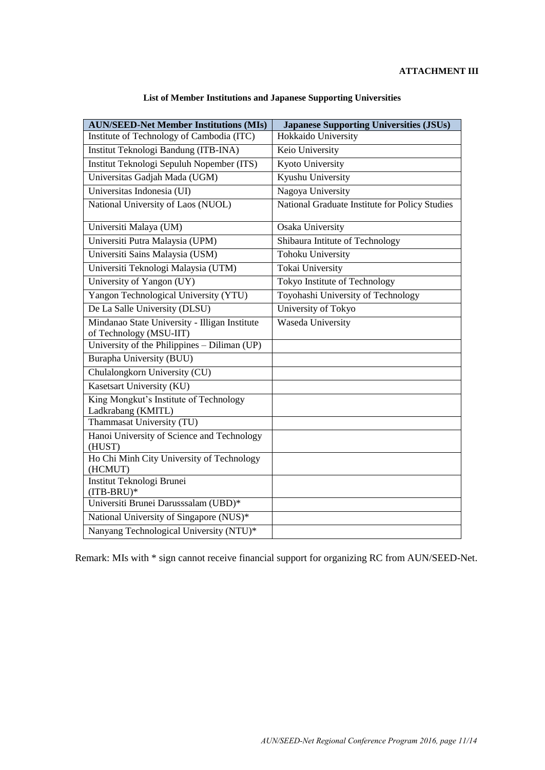# **ATTACHMENT III**

| <b>AUN/SEED-Net Member Institutions (MIs)</b>                            | <b>Japanese Supporting Universities (JSUs)</b> |
|--------------------------------------------------------------------------|------------------------------------------------|
| Institute of Technology of Cambodia (ITC)                                | Hokkaido University                            |
| Institut Teknologi Bandung (ITB-INA)                                     | Keio University                                |
| Institut Teknologi Sepuluh Nopember (ITS)                                | Kyoto University                               |
| Universitas Gadjah Mada (UGM)                                            | Kyushu University                              |
| Universitas Indonesia (UI)                                               | Nagoya University                              |
| National University of Laos (NUOL)                                       | National Graduate Institute for Policy Studies |
| Universiti Malaya (UM)                                                   | <b>Osaka University</b>                        |
| Universiti Putra Malaysia (UPM)                                          | Shibaura Intitute of Technology                |
| Universiti Sains Malaysia (USM)                                          | Tohoku University                              |
| Universiti Teknologi Malaysia (UTM)                                      | <b>Tokai University</b>                        |
| University of Yangon (UY)                                                | Tokyo Institute of Technology                  |
| Yangon Technological University (YTU)                                    | Toyohashi University of Technology             |
| De La Salle University (DLSU)                                            | University of Tokyo                            |
| Mindanao State University - Illigan Institute<br>of Technology (MSU-IIT) | Waseda University                              |
| University of the Philippines - Diliman (UP)                             |                                                |
| Burapha University (BUU)                                                 |                                                |
| Chulalongkorn University (CU)                                            |                                                |
| Kasetsart University (KU)                                                |                                                |
| King Mongkut's Institute of Technology<br>Ladkrabang (KMITL)             |                                                |
| Thammasat University (TU)                                                |                                                |
| Hanoi University of Science and Technology<br>(HUST)                     |                                                |
| Ho Chi Minh City University of Technology<br>(HCMUT)                     |                                                |
| Institut Teknologi Brunei<br>$(ITB-BRU)^*$                               |                                                |
| Universiti Brunei Darusssalam (UBD)*                                     |                                                |
| National University of Singapore (NUS)*                                  |                                                |
| Nanyang Technological University (NTU)*                                  |                                                |

# **List of Member Institutions and Japanese Supporting Universities**

Remark: MIs with \* sign cannot receive financial support for organizing RC from AUN/SEED-Net.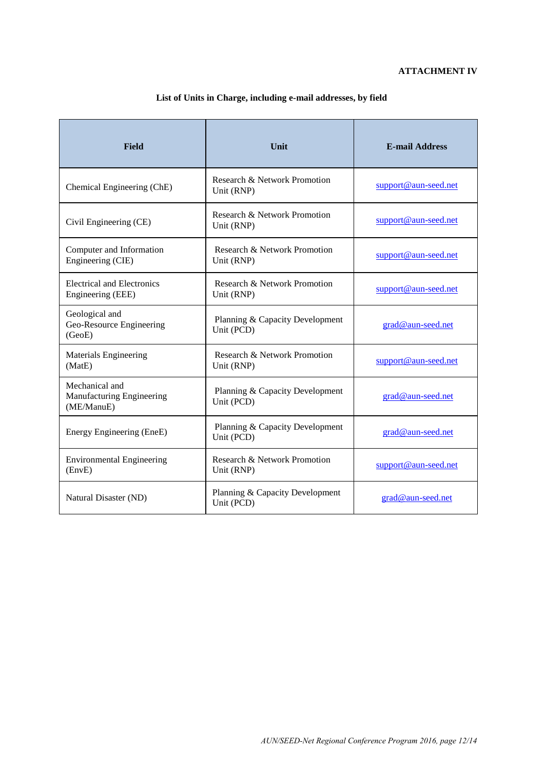# **ATTACHMENT IV**

| <b>Field</b>                                              | <b>Unit</b>                                   | <b>E-mail Address</b> |
|-----------------------------------------------------------|-----------------------------------------------|-----------------------|
| Chemical Engineering (ChE)                                | Research & Network Promotion<br>Unit (RNP)    | support@aun-seed.net  |
| Civil Engineering (CE)                                    | Research & Network Promotion<br>Unit (RNP)    | support@aun-seed.net  |
| Computer and Information<br>Engineering (CIE)             | Research & Network Promotion<br>Unit (RNP)    | support@aun-seed.net  |
| <b>Electrical and Electronics</b><br>Engineering (EEE)    | Research & Network Promotion<br>Unit (RNP)    | support@aun-seed.net  |
| Geological and<br>Geo-Resource Engineering<br>(GeoE)      | Planning & Capacity Development<br>Unit (PCD) | $grad@$ aun-seed.net  |
| Materials Engineering<br>(MatE)                           | Research & Network Promotion<br>Unit (RNP)    | support@aun-seed.net  |
| Mechanical and<br>Manufacturing Engineering<br>(ME/ManuE) | Planning & Capacity Development<br>Unit (PCD) | grad@aun-seed.net     |
| Energy Engineering (EneE)                                 | Planning & Capacity Development<br>Unit (PCD) | grad@aun-seed.net     |
| <b>Environmental Engineering</b><br>(EnvE)                | Research & Network Promotion<br>Unit (RNP)    | support@aun-seed.net  |
| Natural Disaster (ND)                                     | Planning & Capacity Development<br>Unit (PCD) | grad@aun-seed.net     |

# **List of Units in Charge, including e-mail addresses, by field**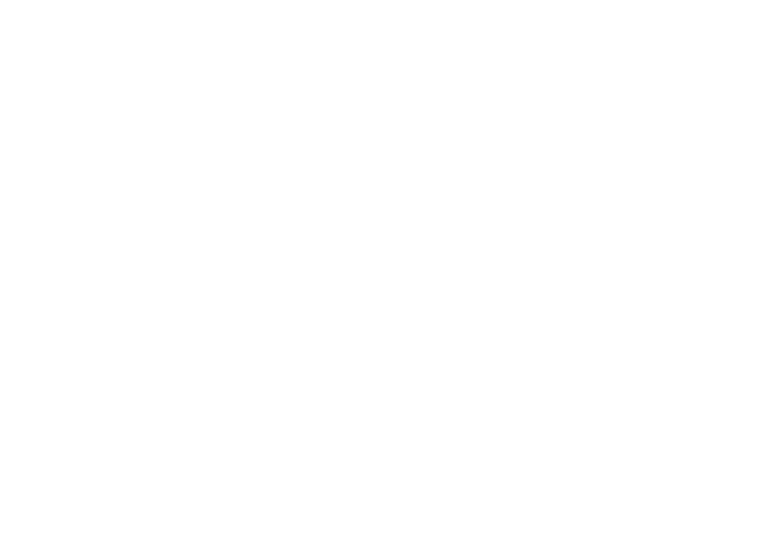**Please print or typell entries** Please submit the form to the below address at least 6 months prior to the expected date of the Conference . (Soft copy in PDF or JPG format is acceptable.)

**AUN/SEED-Net Project** (Regional ConferenceProgram) Faculty of Engineering R 2, Rm 19 -110 **Chulalongkorn University R**ngkok 1830THAIAND

218421 Tel: (66 2) 218419218420 Fax: (66 2) 218418 E-mail: Please refer to Attachmeht

Program Gidelines

 $\mathbf{1}$ 

Applicants should study the Implementation Guidelines of **fRegional ConferenceProgram2016.** It is advised to provide detailed information and description for each item belowand attach supporting documents **la** necessary.

Field of Engineering

 $\Box$  Chemical Engineering ChE

 $\Box$  Civil Engineering CE

 $\Box$  Computer and Information Engineering  $E$ 

 $\Box$  Electrical and Electronics Engineering (EEE)

 $\Box$  Geological and GeoResource Engineering GeoE)

 $\Box$  Materials Engineering (MatE)

 $\Box$  Mechanical and Manufacturing Engineering (ME/ManuE)

 $\Box$  Energy Engineering (EneE)

 $\Box$  Environmental Engineering (EnvE)

 $\Box$  Natural Disaster (ND)

| 2   | Applicant $\phi$ s Personal Information |  |
|-----|-----------------------------------------|--|
| 2.1 | <b>Family Name</b>                      |  |
|     | <b>Given Name(s)</b>                    |  |
| 2.2 | <b>Current Position</b>                 |  |
| 2.3 | <b>Academic Title</b>                   |  |
| 2.4 | <b>Department/Faculty</b>               |  |
| 2.5 | <b>University</b>                       |  |
| 2.6 | <b>ContactAddress</b>                   |  |
|     | (Mailing Address)                       |  |
|     | Tel / Fax                               |  |
|     | <b>Mobile Phone</b>                     |  |
|     | <b>E-mail Address</b>                   |  |